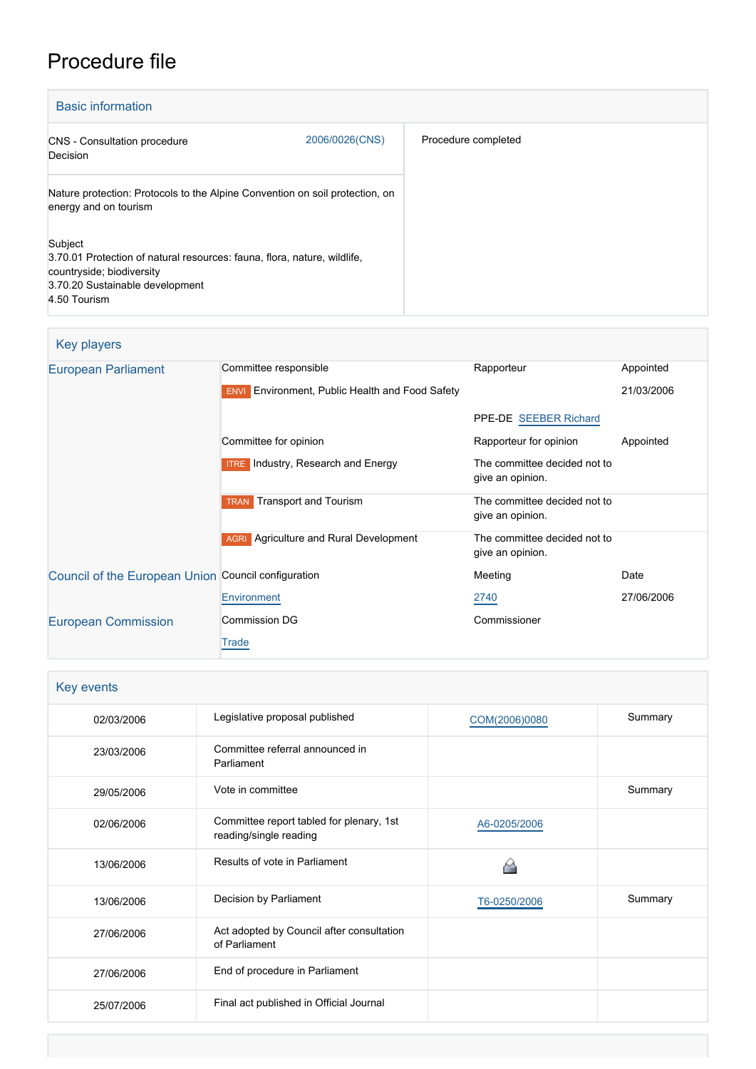# Procedure file

| <b>Basic information</b>                                                                                                                                            |                |                     |
|---------------------------------------------------------------------------------------------------------------------------------------------------------------------|----------------|---------------------|
| <b>CNS</b> - Consultation procedure<br>Decision                                                                                                                     | 2006/0026(CNS) | Procedure completed |
| Nature protection: Protocols to the Alpine Convention on soil protection, on<br>energy and on tourism                                                               |                |                     |
| Subject<br>3.70.01 Protection of natural resources: fauna, flora, nature, wildlife,<br>countryside; biodiversity<br>3.70.20 Sustainable development<br>4.50 Tourism |                |                     |

# Key players

| European Parliament                                 | Committee responsible                                            | Rapporteur                                       | Appointed  |
|-----------------------------------------------------|------------------------------------------------------------------|--------------------------------------------------|------------|
|                                                     | <b>Environment, Public Health and Food Safety</b><br><b>ENVI</b> |                                                  | 21/03/2006 |
|                                                     |                                                                  | PPE-DE SEEBER Richard                            |            |
|                                                     | Committee for opinion                                            | Rapporteur for opinion                           | Appointed  |
|                                                     | <b>ITRE</b> Industry, Research and Energy                        | The committee decided not to<br>give an opinion. |            |
|                                                     | <b>TRAN</b> Transport and Tourism                                | The committee decided not to<br>give an opinion. |            |
|                                                     | Agriculture and Rural Development<br><b>AGRI</b>                 | The committee decided not to<br>give an opinion. |            |
| Council of the European Union Council configuration |                                                                  | Meeting                                          | Date       |
|                                                     | Environment                                                      | 2740                                             | 27/06/2006 |
| <b>European Commission</b>                          | <b>Commission DG</b>                                             | Commissioner                                     |            |
|                                                     | Trade                                                            |                                                  |            |

| Key events |                                                                    |               |         |
|------------|--------------------------------------------------------------------|---------------|---------|
| 02/03/2006 | Legislative proposal published                                     | COM(2006)0080 | Summary |
| 23/03/2006 | Committee referral announced in<br>Parliament                      |               |         |
| 29/05/2006 | Vote in committee                                                  |               | Summary |
| 02/06/2006 | Committee report tabled for plenary, 1st<br>reading/single reading | A6-0205/2006  |         |
| 13/06/2006 | Results of vote in Parliament                                      |               |         |
| 13/06/2006 | Decision by Parliament                                             | T6-0250/2006  | Summary |
| 27/06/2006 | Act adopted by Council after consultation<br>of Parliament         |               |         |
| 27/06/2006 | End of procedure in Parliament                                     |               |         |
| 25/07/2006 | Final act published in Official Journal                            |               |         |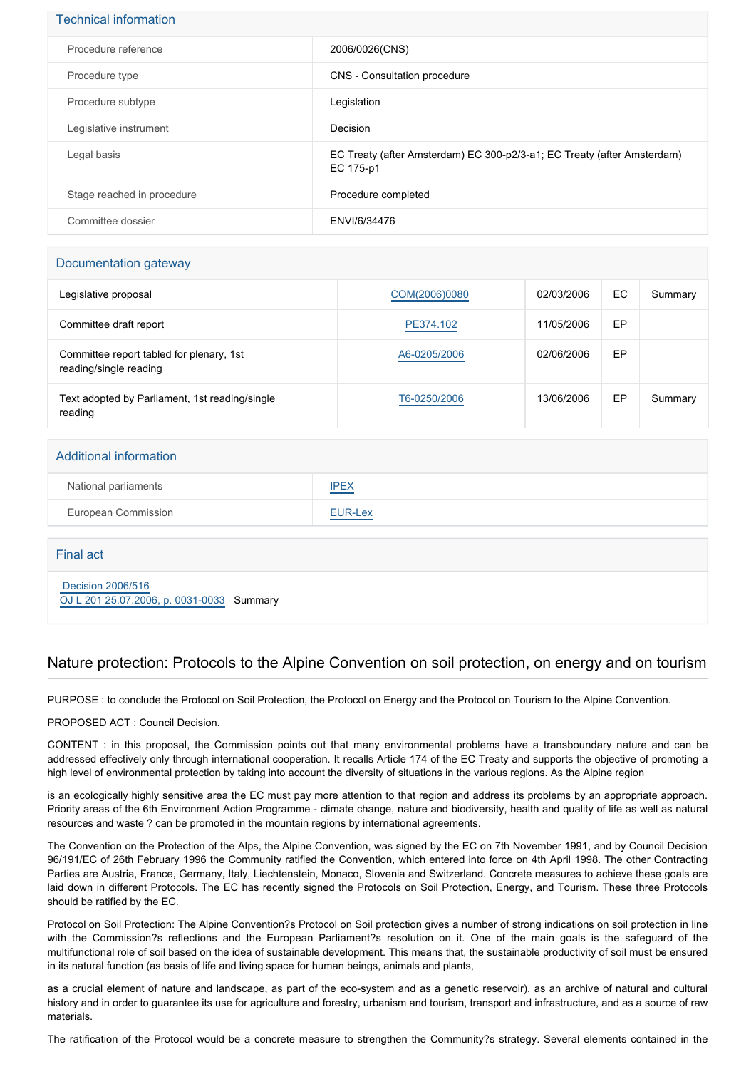## Technical information

| Procedure reference        | 2006/0026(CNS)                                                                       |
|----------------------------|--------------------------------------------------------------------------------------|
| Procedure type             | CNS - Consultation procedure                                                         |
| Procedure subtype          | Legislation                                                                          |
| Legislative instrument     | Decision                                                                             |
| Legal basis                | EC Treaty (after Amsterdam) EC 300-p2/3-a1; EC Treaty (after Amsterdam)<br>EC 175-p1 |
| Stage reached in procedure | Procedure completed                                                                  |
| Committee dossier          | ENVI/6/34476                                                                         |

## Documentation gateway

| Legislative proposal                                               | COM(2006)0080 | 02/03/2006 | EC | Summary |
|--------------------------------------------------------------------|---------------|------------|----|---------|
| Committee draft report                                             | PE374.102     | 11/05/2006 | EP |         |
| Committee report tabled for plenary, 1st<br>reading/single reading | A6-0205/2006  | 02/06/2006 | EP |         |
| Text adopted by Parliament, 1st reading/single<br>reading          | T6-0250/2006  | 13/06/2006 | EP | Summary |

## Additional information

| National parliaments | <b>IPEX</b> |
|----------------------|-------------|
| European Commission  | EUR-Lex     |

## Final act

 [Decision 2006/516](https://eur-lex.europa.eu/smartapi/cgi/sga_doc?smartapi!celexplus!prod!CELEXnumdoc&lg=EN&numdoc=32006D0516) [OJ L 201 25.07.2006, p. 0031-0033](https://eur-lex.europa.eu/legal-content/EN/TXT/?uri=OJ:L:2006:201:TOC) Summary

## Nature protection: Protocols to the Alpine Convention on soil protection, on energy and on tourism

PURPOSE : to conclude the Protocol on Soil Protection, the Protocol on Energy and the Protocol on Tourism to the Alpine Convention.

#### PROPOSED ACT : Council Decision.

CONTENT : in this proposal, the Commission points out that many environmental problems have a transboundary nature and can be addressed effectively only through international cooperation. It recalls Article 174 of the EC Treaty and supports the objective of promoting a high level of environmental protection by taking into account the diversity of situations in the various regions. As the Alpine region

is an ecologically highly sensitive area the EC must pay more attention to that region and address its problems by an appropriate approach. Priority areas of the 6th Environment Action Programme - climate change, nature and biodiversity, health and quality of life as well as natural resources and waste ? can be promoted in the mountain regions by international agreements.

The Convention on the Protection of the Alps, the Alpine Convention, was signed by the EC on 7th November 1991, and by Council Decision 96/191/EC of 26th February 1996 the Community ratified the Convention, which entered into force on 4th April 1998. The other Contracting Parties are Austria, France, Germany, Italy, Liechtenstein, Monaco, Slovenia and Switzerland. Concrete measures to achieve these goals are laid down in different Protocols. The EC has recently signed the Protocols on Soil Protection, Energy, and Tourism. These three Protocols should be ratified by the EC.

Protocol on Soil Protection: The Alpine Convention?s Protocol on Soil protection gives a number of strong indications on soil protection in line with the Commission?s reflections and the European Parliament?s resolution on it. One of the main goals is the safeguard of the multifunctional role of soil based on the idea of sustainable development. This means that, the sustainable productivity of soil must be ensured in its natural function (as basis of life and living space for human beings, animals and plants,

as a crucial element of nature and landscape, as part of the eco-system and as a genetic reservoir), as an archive of natural and cultural history and in order to guarantee its use for agriculture and forestry, urbanism and tourism, transport and infrastructure, and as a source of raw materials.

The ratification of the Protocol would be a concrete measure to strengthen the Community?s strategy. Several elements contained in the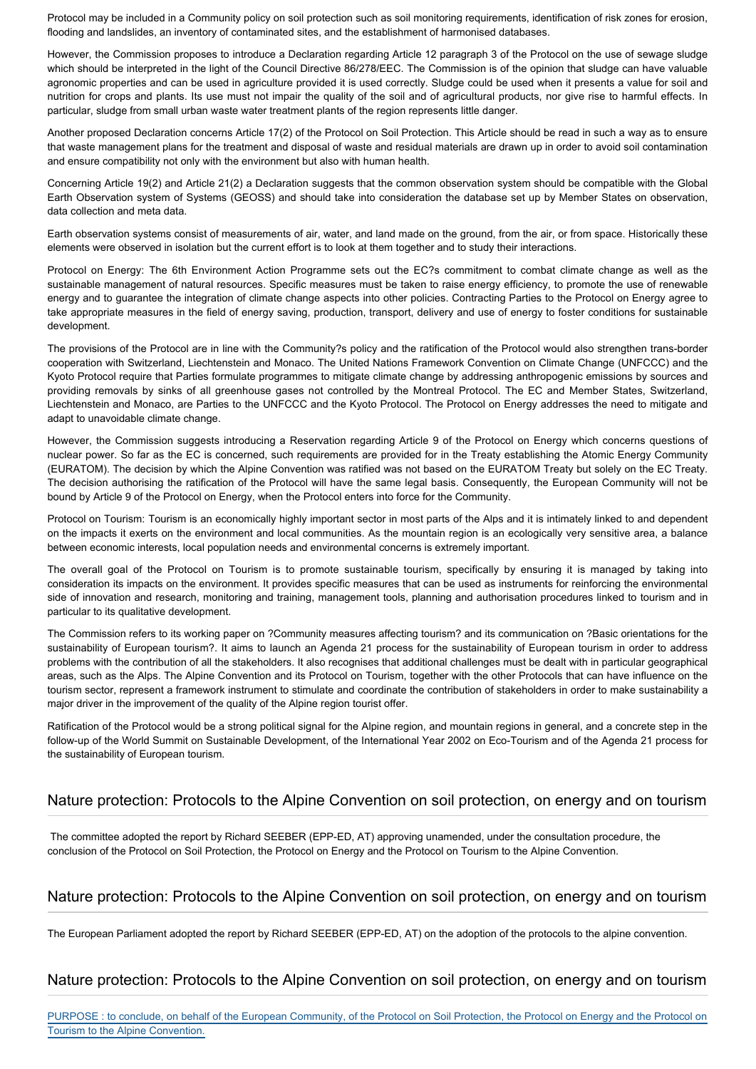Protocol may be included in a Community policy on soil protection such as soil monitoring requirements, identification of risk zones for erosion, flooding and landslides, an inventory of contaminated sites, and the establishment of harmonised databases.

However, the Commission proposes to introduce a Declaration regarding Article 12 paragraph 3 of the Protocol on the use of sewage sludge which should be interpreted in the light of the Council Directive 86/278/EEC. The Commission is of the opinion that sludge can have valuable agronomic properties and can be used in agriculture provided it is used correctly. Sludge could be used when it presents a value for soil and nutrition for crops and plants. Its use must not impair the quality of the soil and of agricultural products, nor give rise to harmful effects. In particular, sludge from small urban waste water treatment plants of the region represents little danger.

Another proposed Declaration concerns Article 17(2) of the Protocol on Soil Protection. This Article should be read in such a way as to ensure that waste management plans for the treatment and disposal of waste and residual materials are drawn up in order to avoid soil contamination and ensure compatibility not only with the environment but also with human health.

Concerning Article 19(2) and Article 21(2) a Declaration suggests that the common observation system should be compatible with the Global Earth Observation system of Systems (GEOSS) and should take into consideration the database set up by Member States on observation, data collection and meta data.

Earth observation systems consist of measurements of air, water, and land made on the ground, from the air, or from space. Historically these elements were observed in isolation but the current effort is to look at them together and to study their interactions.

Protocol on Energy: The 6th Environment Action Programme sets out the EC?s commitment to combat climate change as well as the sustainable management of natural resources. Specific measures must be taken to raise energy efficiency, to promote the use of renewable energy and to guarantee the integration of climate change aspects into other policies. Contracting Parties to the Protocol on Energy agree to take appropriate measures in the field of energy saving, production, transport, delivery and use of energy to foster conditions for sustainable development.

The provisions of the Protocol are in line with the Community?s policy and the ratification of the Protocol would also strengthen trans-border cooperation with Switzerland, Liechtenstein and Monaco. The United Nations Framework Convention on Climate Change (UNFCCC) and the Kyoto Protocol require that Parties formulate programmes to mitigate climate change by addressing anthropogenic emissions by sources and providing removals by sinks of all greenhouse gases not controlled by the Montreal Protocol. The EC and Member States, Switzerland, Liechtenstein and Monaco, are Parties to the UNFCCC and the Kyoto Protocol. The Protocol on Energy addresses the need to mitigate and adapt to unavoidable climate change.

However, the Commission suggests introducing a Reservation regarding Article 9 of the Protocol on Energy which concerns questions of nuclear power. So far as the EC is concerned, such requirements are provided for in the Treaty establishing the Atomic Energy Community (EURATOM). The decision by which the Alpine Convention was ratified was not based on the EURATOM Treaty but solely on the EC Treaty. The decision authorising the ratification of the Protocol will have the same legal basis. Consequently, the European Community will not be bound by Article 9 of the Protocol on Energy, when the Protocol enters into force for the Community.

Protocol on Tourism: Tourism is an economically highly important sector in most parts of the Alps and it is intimately linked to and dependent on the impacts it exerts on the environment and local communities. As the mountain region is an ecologically very sensitive area, a balance between economic interests, local population needs and environmental concerns is extremely important.

The overall goal of the Protocol on Tourism is to promote sustainable tourism, specifically by ensuring it is managed by taking into consideration its impacts on the environment. It provides specific measures that can be used as instruments for reinforcing the environmental side of innovation and research, monitoring and training, management tools, planning and authorisation procedures linked to tourism and in particular to its qualitative development.

The Commission refers to its working paper on ?Community measures affecting tourism? and its communication on ?Basic orientations for the sustainability of European tourism?. It aims to launch an Agenda 21 process for the sustainability of European tourism in order to address problems with the contribution of all the stakeholders. It also recognises that additional challenges must be dealt with in particular geographical areas, such as the Alps. The Alpine Convention and its Protocol on Tourism, together with the other Protocols that can have influence on the tourism sector, represent a framework instrument to stimulate and coordinate the contribution of stakeholders in order to make sustainability a major driver in the improvement of the quality of the Alpine region tourist offer.

Ratification of the Protocol would be a strong political signal for the Alpine region, and mountain regions in general, and a concrete step in the follow-up of the World Summit on Sustainable Development, of the International Year 2002 on Eco-Tourism and of the Agenda 21 process for the sustainability of European tourism.

# Nature protection: Protocols to the Alpine Convention on soil protection, on energy and on tourism

 The committee adopted the report by Richard SEEBER (EPP-ED, AT) approving unamended, under the consultation procedure, the conclusion of the Protocol on Soil Protection, the Protocol on Energy and the Protocol on Tourism to the Alpine Convention.

# Nature protection: Protocols to the Alpine Convention on soil protection, on energy and on tourism

The European Parliament adopted the report by Richard SEEBER (EPP-ED, AT) on the adoption of the protocols to the alpine convention.

# Nature protection: Protocols to the Alpine Convention on soil protection, on energy and on tourism

PURPOSE : to conclude, on behalf of the European Community, of the Protocol on Soil Protection, the Protocol on Energy and the Protocol on Tourism to the Alpine Convention.